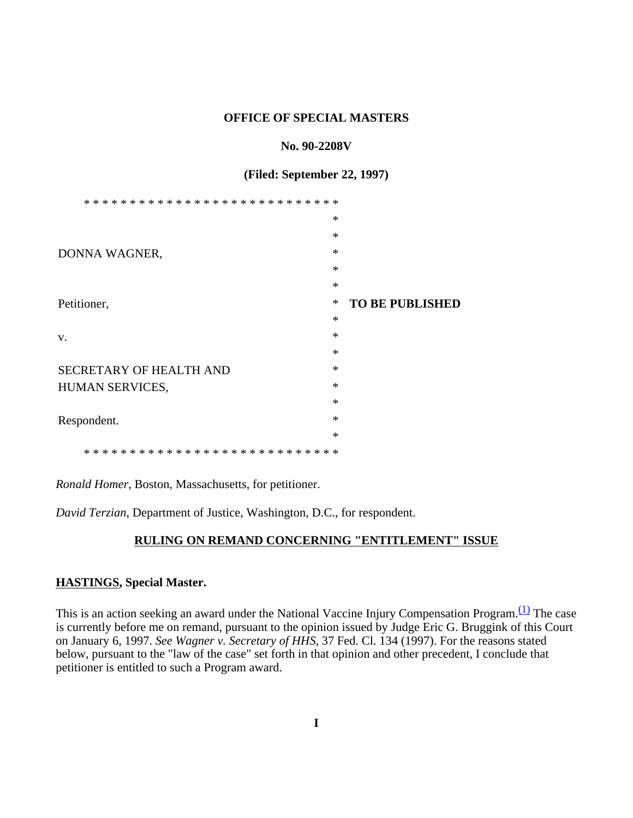#### **OFFICE OF SPECIAL MASTERS**

#### **No. 90-2208V**

### **(Filed: September 22, 1997)**

|                                                            | $\ast$ |                        |
|------------------------------------------------------------|--------|------------------------|
|                                                            | $\ast$ |                        |
| DONNA WAGNER,                                              | ∗      |                        |
|                                                            | $\ast$ |                        |
|                                                            | $\ast$ |                        |
| Petitioner,                                                | $\ast$ | <b>TO BE PUBLISHED</b> |
|                                                            | $\ast$ |                        |
| V.                                                         | $\ast$ |                        |
|                                                            | $\ast$ |                        |
| SECRETARY OF HEALTH AND                                    | $\ast$ |                        |
| HUMAN SERVICES,                                            | $\ast$ |                        |
|                                                            | $\ast$ |                        |
| Respondent.                                                | $\ast$ |                        |
|                                                            | $\ast$ |                        |
| $**$<br>* * * * * * * * * * * * * * * * *<br>* * * * * * * | $* *$  |                        |

*Ronald Homer*, Boston, Massachusetts, for petitioner.

*David Terzian*, Department of Justice, Washington, D.C., for respondent.

# **RULING ON REMAND CONCERNING "ENTITLEMENT" ISSUE**

## **HASTINGS, Special Master.**

This is an action seeking an award under the National Vaccine Injury Compensation Program.<sup>(1)</sup> The case is currently before me on remand, pursuant to the opinion issued by Judge Eric G. Bruggink of this Court on January 6, 1997. *See Wagner v. Secretary of HHS,* 37 Fed. Cl. 134 (1997). For the reasons stated below, pursuant to the "law of the case" set forth in that opinion and other precedent, I conclude that petitioner is entitled to such a Program award.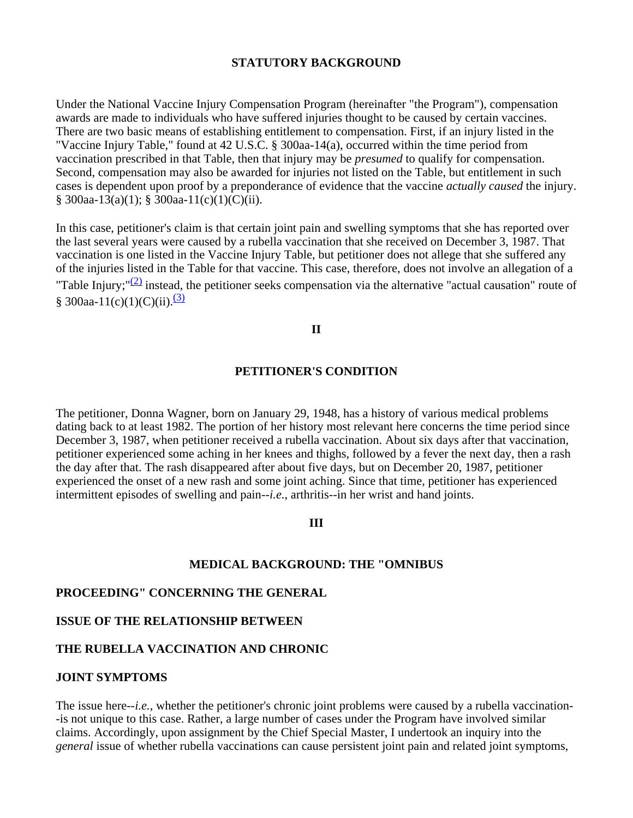## **STATUTORY BACKGROUND**

Under the National Vaccine Injury Compensation Program (hereinafter "the Program"), compensation awards are made to individuals who have suffered injuries thought to be caused by certain vaccines. There are two basic means of establishing entitlement to compensation. First, if an injury listed in the "Vaccine Injury Table," found at 42 U.S.C. § 300aa-14(a), occurred within the time period from vaccination prescribed in that Table, then that injury may be *presumed* to qualify for compensation. Second, compensation may also be awarded for injuries not listed on the Table, but entitlement in such cases is dependent upon proof by a preponderance of evidence that the vaccine *actually caused* the injury. § 300aa-13(a)(1); § 300aa-11(c)(1)(C)(ii).

In this case, petitioner's claim is that certain joint pain and swelling symptoms that she has reported over the last several years were caused by a rubella vaccination that she received on December 3, 1987. That vaccination is one listed in the Vaccine Injury Table, but petitioner does not allege that she suffered any of the injuries listed in the Table for that vaccine. This case, therefore, does not involve an allegation of a "Table Injury;" $(2)$  instead, the petitioner seeks compensation via the alternative "actual causation" route of § 300aa-11(c)(1)(C)(ii). $\frac{(3)}{2}$ 

### **II**

#### **PETITIONER'S CONDITION**

The petitioner, Donna Wagner, born on January 29, 1948, has a history of various medical problems dating back to at least 1982. The portion of her history most relevant here concerns the time period since December 3, 1987, when petitioner received a rubella vaccination. About six days after that vaccination, petitioner experienced some aching in her knees and thighs, followed by a fever the next day, then a rash the day after that. The rash disappeared after about five days, but on December 20, 1987, petitioner experienced the onset of a new rash and some joint aching. Since that time, petitioner has experienced intermittent episodes of swelling and pain--*i.e.*, arthritis--in her wrist and hand joints.

# **III**

#### **MEDICAL BACKGROUND: THE "OMNIBUS**

#### **PROCEEDING" CONCERNING THE GENERAL**

## **ISSUE OF THE RELATIONSHIP BETWEEN**

### **THE RUBELLA VACCINATION AND CHRONIC**

#### **JOINT SYMPTOMS**

The issue here--*i.e.*, whether the petitioner's chronic joint problems were caused by a rubella vaccination- -is not unique to this case. Rather, a large number of cases under the Program have involved similar claims. Accordingly, upon assignment by the Chief Special Master, I undertook an inquiry into the *general* issue of whether rubella vaccinations can cause persistent joint pain and related joint symptoms,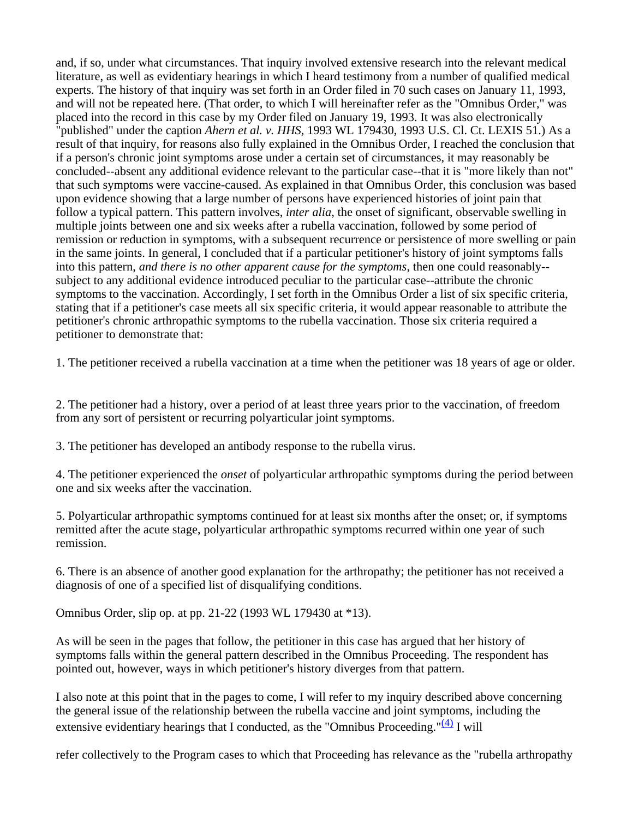and, if so, under what circumstances. That inquiry involved extensive research into the relevant medical literature, as well as evidentiary hearings in which I heard testimony from a number of qualified medical experts. The history of that inquiry was set forth in an Order filed in 70 such cases on January 11, 1993, and will not be repeated here. (That order, to which I will hereinafter refer as the "Omnibus Order," was placed into the record in this case by my Order filed on January 19, 1993. It was also electronically "published" under the caption *Ahern et al. v. HHS*, 1993 WL 179430, 1993 U.S. Cl. Ct. LEXIS 51.) As a result of that inquiry, for reasons also fully explained in the Omnibus Order, I reached the conclusion that if a person's chronic joint symptoms arose under a certain set of circumstances, it may reasonably be concluded--absent any additional evidence relevant to the particular case--that it is "more likely than not" that such symptoms were vaccine-caused. As explained in that Omnibus Order, this conclusion was based upon evidence showing that a large number of persons have experienced histories of joint pain that follow a typical pattern. This pattern involves, *inter alia*, the onset of significant, observable swelling in multiple joints between one and six weeks after a rubella vaccination, followed by some period of remission or reduction in symptoms, with a subsequent recurrence or persistence of more swelling or pain in the same joints. In general, I concluded that if a particular petitioner's history of joint symptoms falls into this pattern, *and there is no other apparent cause for the symptoms*, then one could reasonably- subject to any additional evidence introduced peculiar to the particular case--attribute the chronic symptoms to the vaccination. Accordingly, I set forth in the Omnibus Order a list of six specific criteria, stating that if a petitioner's case meets all six specific criteria, it would appear reasonable to attribute the petitioner's chronic arthropathic symptoms to the rubella vaccination. Those six criteria required a petitioner to demonstrate that:

1. The petitioner received a rubella vaccination at a time when the petitioner was 18 years of age or older.

2. The petitioner had a history, over a period of at least three years prior to the vaccination, of freedom from any sort of persistent or recurring polyarticular joint symptoms.

3. The petitioner has developed an antibody response to the rubella virus.

4. The petitioner experienced the *onset* of polyarticular arthropathic symptoms during the period between one and six weeks after the vaccination.

5. Polyarticular arthropathic symptoms continued for at least six months after the onset; or, if symptoms remitted after the acute stage, polyarticular arthropathic symptoms recurred within one year of such remission.

6. There is an absence of another good explanation for the arthropathy; the petitioner has not received a diagnosis of one of a specified list of disqualifying conditions.

Omnibus Order, slip op. at pp. 21-22 (1993 WL 179430 at \*13).

As will be seen in the pages that follow, the petitioner in this case has argued that her history of symptoms falls within the general pattern described in the Omnibus Proceeding. The respondent has pointed out, however, ways in which petitioner's history diverges from that pattern.

I also note at this point that in the pages to come, I will refer to my inquiry described above concerning the general issue of the relationship between the rubella vaccine and joint symptoms, including the extensive evidentiary hearings that I conducted, as the "Omnibus Proceeding." $(4)$  I will

refer collectively to the Program cases to which that Proceeding has relevance as the "rubella arthropathy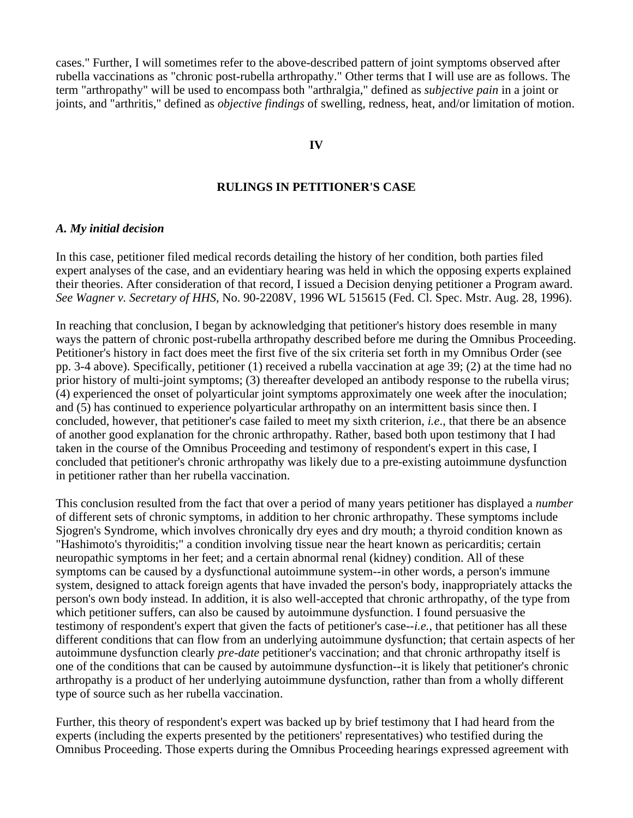cases." Further, I will sometimes refer to the above-described pattern of joint symptoms observed after rubella vaccinations as "chronic post-rubella arthropathy." Other terms that I will use are as follows. The term "arthropathy" will be used to encompass both "arthralgia," defined as *subjective pain* in a joint or joints, and "arthritis," defined as *objective findings* of swelling, redness, heat, and/or limitation of motion.

#### **IV**

### **RULINGS IN PETITIONER'S CASE**

#### *A. My initial decision*

In this case, petitioner filed medical records detailing the history of her condition, both parties filed expert analyses of the case, and an evidentiary hearing was held in which the opposing experts explained their theories. After consideration of that record, I issued a Decision denying petitioner a Program award. *See Wagner v. Secretary of HHS*, No. 90-2208V, 1996 WL 515615 (Fed. Cl. Spec. Mstr. Aug. 28, 1996).

In reaching that conclusion, I began by acknowledging that petitioner's history does resemble in many ways the pattern of chronic post-rubella arthropathy described before me during the Omnibus Proceeding. Petitioner's history in fact does meet the first five of the six criteria set forth in my Omnibus Order (see pp. 3-4 above). Specifically, petitioner (1) received a rubella vaccination at age 39; (2) at the time had no prior history of multi-joint symptoms; (3) thereafter developed an antibody response to the rubella virus; (4) experienced the onset of polyarticular joint symptoms approximately one week after the inoculation; and (5) has continued to experience polyarticular arthropathy on an intermittent basis since then. I concluded, however, that petitioner's case failed to meet my sixth criterion, *i.e*., that there be an absence of another good explanation for the chronic arthropathy. Rather, based both upon testimony that I had taken in the course of the Omnibus Proceeding and testimony of respondent's expert in this case, I concluded that petitioner's chronic arthropathy was likely due to a pre-existing autoimmune dysfunction in petitioner rather than her rubella vaccination.

This conclusion resulted from the fact that over a period of many years petitioner has displayed a *number* of different sets of chronic symptoms, in addition to her chronic arthropathy. These symptoms include Sjogren's Syndrome, which involves chronically dry eyes and dry mouth; a thyroid condition known as "Hashimoto's thyroiditis;" a condition involving tissue near the heart known as pericarditis; certain neuropathic symptoms in her feet; and a certain abnormal renal (kidney) condition. All of these symptoms can be caused by a dysfunctional autoimmune system--in other words, a person's immune system, designed to attack foreign agents that have invaded the person's body, inappropriately attacks the person's own body instead. In addition, it is also well-accepted that chronic arthropathy, of the type from which petitioner suffers, can also be caused by autoimmune dysfunction. I found persuasive the testimony of respondent's expert that given the facts of petitioner's case--*i.e.*, that petitioner has all these different conditions that can flow from an underlying autoimmune dysfunction; that certain aspects of her autoimmune dysfunction clearly *pre-date* petitioner's vaccination; and that chronic arthropathy itself is one of the conditions that can be caused by autoimmune dysfunction--it is likely that petitioner's chronic arthropathy is a product of her underlying autoimmune dysfunction, rather than from a wholly different type of source such as her rubella vaccination.

Further, this theory of respondent's expert was backed up by brief testimony that I had heard from the experts (including the experts presented by the petitioners' representatives) who testified during the Omnibus Proceeding. Those experts during the Omnibus Proceeding hearings expressed agreement with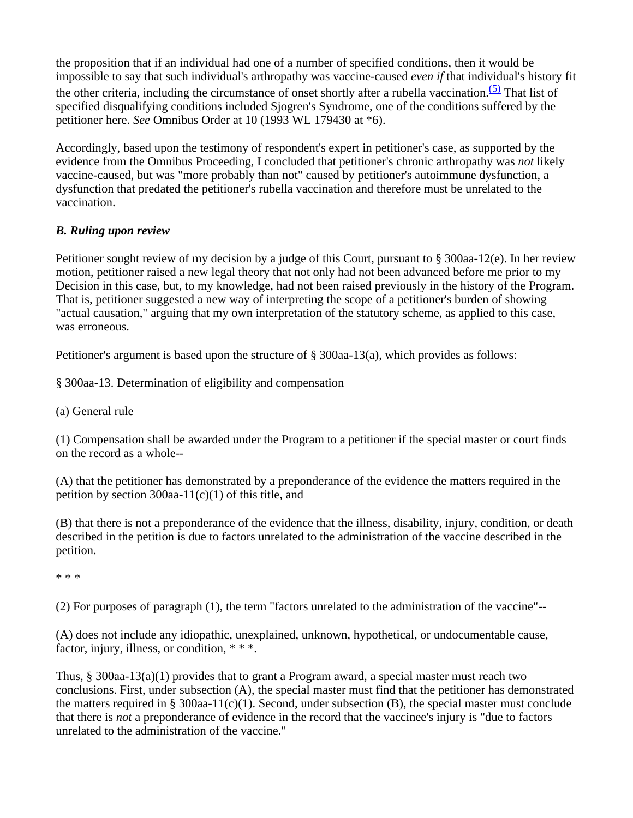the proposition that if an individual had one of a number of specified conditions, then it would be impossible to say that such individual's arthropathy was vaccine-caused *even if* that individual's history fit the other criteria, including the circumstance of onset shortly after a rubella vaccination.<sup>(5)</sup> That list of specified disqualifying conditions included Sjogren's Syndrome, one of the conditions suffered by the petitioner here. *See* Omnibus Order at 10 (1993 WL 179430 at \*6).

Accordingly, based upon the testimony of respondent's expert in petitioner's case, as supported by the evidence from the Omnibus Proceeding, I concluded that petitioner's chronic arthropathy was *not* likely vaccine-caused, but was "more probably than not" caused by petitioner's autoimmune dysfunction, a dysfunction that predated the petitioner's rubella vaccination and therefore must be unrelated to the vaccination.

# *B. Ruling upon review*

Petitioner sought review of my decision by a judge of this Court, pursuant to § 300aa-12(e). In her review motion, petitioner raised a new legal theory that not only had not been advanced before me prior to my Decision in this case, but, to my knowledge, had not been raised previously in the history of the Program. That is, petitioner suggested a new way of interpreting the scope of a petitioner's burden of showing "actual causation," arguing that my own interpretation of the statutory scheme, as applied to this case, was erroneous.

Petitioner's argument is based upon the structure of § 300aa-13(a), which provides as follows:

§ 300aa-13. Determination of eligibility and compensation

(a) General rule

(1) Compensation shall be awarded under the Program to a petitioner if the special master or court finds on the record as a whole--

(A) that the petitioner has demonstrated by a preponderance of the evidence the matters required in the petition by section  $300$ aa-11(c)(1) of this title, and

(B) that there is not a preponderance of the evidence that the illness, disability, injury, condition, or death described in the petition is due to factors unrelated to the administration of the vaccine described in the petition.

\* \* \*

(2) For purposes of paragraph (1), the term "factors unrelated to the administration of the vaccine"--

(A) does not include any idiopathic, unexplained, unknown, hypothetical, or undocumentable cause, factor, injury, illness, or condition, \* \* \*.

Thus, § 300aa-13(a)(1) provides that to grant a Program award, a special master must reach two conclusions. First, under subsection (A), the special master must find that the petitioner has demonstrated the matters required in § 300aa-11(c)(1). Second, under subsection (B), the special master must conclude that there is *not* a preponderance of evidence in the record that the vaccinee's injury is "due to factors unrelated to the administration of the vaccine."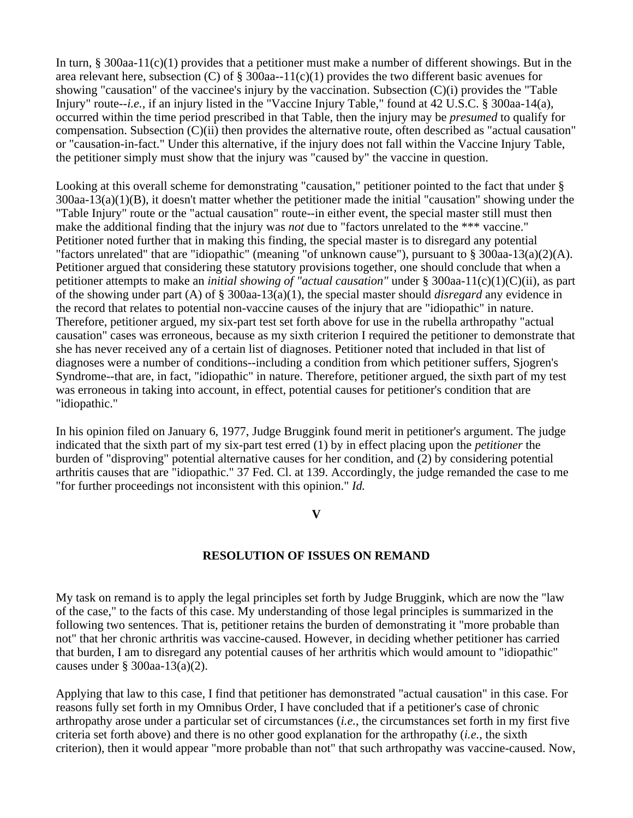In turn,  $\S$  300aa-11(c)(1) provides that a petitioner must make a number of different showings. But in the area relevant here, subsection (C) of § 300aa--11(c)(1) provides the two different basic avenues for showing "causation" of the vaccinee's injury by the vaccination. Subsection (C)(i) provides the "Table Injury" route--*i.e.*, if an injury listed in the "Vaccine Injury Table," found at 42 U.S.C. § 300aa-14(a), occurred within the time period prescribed in that Table, then the injury may be *presumed* to qualify for compensation. Subsection (C)(ii) then provides the alternative route, often described as "actual causation" or "causation-in-fact." Under this alternative, if the injury does not fall within the Vaccine Injury Table, the petitioner simply must show that the injury was "caused by" the vaccine in question.

Looking at this overall scheme for demonstrating "causation," petitioner pointed to the fact that under  $\S$ 300aa-13(a)(1)(B), it doesn't matter whether the petitioner made the initial "causation" showing under the "Table Injury" route or the "actual causation" route--in either event, the special master still must then make the additional finding that the injury was *not* due to "factors unrelated to the \*\*\* vaccine." Petitioner noted further that in making this finding, the special master is to disregard any potential "factors unrelated" that are "idiopathic" (meaning "of unknown cause"), pursuant to § 300aa-13(a)(2)(A). Petitioner argued that considering these statutory provisions together, one should conclude that when a petitioner attempts to make an *initial showing of "actual causation"* under § 300aa-11(c)(1)(C)(ii), as part of the showing under part (A) of § 300aa-13(a)(1), the special master should *disregard* any evidence in the record that relates to potential non-vaccine causes of the injury that are "idiopathic" in nature. Therefore, petitioner argued, my six-part test set forth above for use in the rubella arthropathy "actual causation" cases was erroneous, because as my sixth criterion I required the petitioner to demonstrate that she has never received any of a certain list of diagnoses. Petitioner noted that included in that list of diagnoses were a number of conditions--including a condition from which petitioner suffers, Sjogren's Syndrome--that are, in fact, "idiopathic" in nature. Therefore, petitioner argued, the sixth part of my test was erroneous in taking into account, in effect, potential causes for petitioner's condition that are "idiopathic."

In his opinion filed on January 6, 1977, Judge Bruggink found merit in petitioner's argument. The judge indicated that the sixth part of my six-part test erred (1) by in effect placing upon the *petitioner* the burden of "disproving" potential alternative causes for her condition, and (2) by considering potential arthritis causes that are "idiopathic." 37 Fed. Cl. at 139. Accordingly, the judge remanded the case to me "for further proceedings not inconsistent with this opinion." *Id.*

### **V**

# **RESOLUTION OF ISSUES ON REMAND**

My task on remand is to apply the legal principles set forth by Judge Bruggink, which are now the "law of the case," to the facts of this case. My understanding of those legal principles is summarized in the following two sentences. That is, petitioner retains the burden of demonstrating it "more probable than not" that her chronic arthritis was vaccine-caused. However, in deciding whether petitioner has carried that burden, I am to disregard any potential causes of her arthritis which would amount to "idiopathic" causes under  $\S$  300aa-13(a)(2).

Applying that law to this case, I find that petitioner has demonstrated "actual causation" in this case. For reasons fully set forth in my Omnibus Order, I have concluded that if a petitioner's case of chronic arthropathy arose under a particular set of circumstances (*i.e.*, the circumstances set forth in my first five criteria set forth above) and there is no other good explanation for the arthropathy (*i.e.*, the sixth criterion), then it would appear "more probable than not" that such arthropathy was vaccine-caused. Now,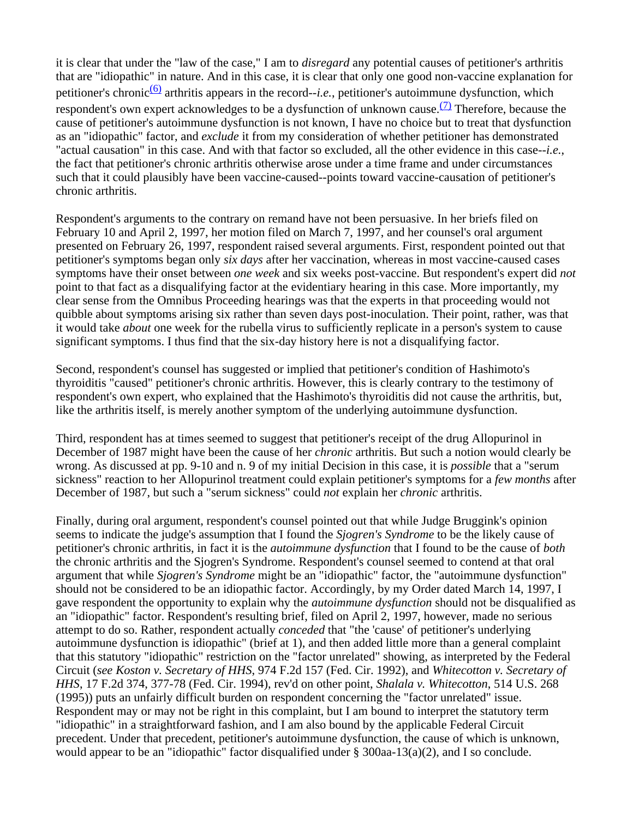it is clear that under the "law of the case," I am to *disregard* any potential causes of petitioner's arthritis that are "idiopathic" in nature. And in this case, it is clear that only one good non-vaccine explanation for petitioner's chronic(6) arthritis appears in the record--*i.e.*, petitioner's autoimmune dysfunction, which respondent's own expert acknowledges to be a dysfunction of unknown cause.<sup>(7)</sup> Therefore, because the cause of petitioner's autoimmune dysfunction is not known, I have no choice but to treat that dysfunction as an "idiopathic" factor, and *exclude* it from my consideration of whether petitioner has demonstrated "actual causation" in this case. And with that factor so excluded, all the other evidence in this case--*i.e.*, the fact that petitioner's chronic arthritis otherwise arose under a time frame and under circumstances such that it could plausibly have been vaccine-caused--points toward vaccine-causation of petitioner's chronic arthritis.

Respondent's arguments to the contrary on remand have not been persuasive. In her briefs filed on February 10 and April 2, 1997, her motion filed on March 7, 1997, and her counsel's oral argument presented on February 26, 1997, respondent raised several arguments. First, respondent pointed out that petitioner's symptoms began only *six days* after her vaccination, whereas in most vaccine-caused cases symptoms have their onset between *one week* and six weeks post-vaccine. But respondent's expert did *not* point to that fact as a disqualifying factor at the evidentiary hearing in this case. More importantly, my clear sense from the Omnibus Proceeding hearings was that the experts in that proceeding would not quibble about symptoms arising six rather than seven days post-inoculation. Their point, rather, was that it would take *about* one week for the rubella virus to sufficiently replicate in a person's system to cause significant symptoms. I thus find that the six-day history here is not a disqualifying factor.

Second, respondent's counsel has suggested or implied that petitioner's condition of Hashimoto's thyroiditis "caused" petitioner's chronic arthritis. However, this is clearly contrary to the testimony of respondent's own expert, who explained that the Hashimoto's thyroiditis did not cause the arthritis, but, like the arthritis itself, is merely another symptom of the underlying autoimmune dysfunction.

Third, respondent has at times seemed to suggest that petitioner's receipt of the drug Allopurinol in December of 1987 might have been the cause of her *chronic* arthritis. But such a notion would clearly be wrong. As discussed at pp. 9-10 and n. 9 of my initial Decision in this case, it is *possible* that a "serum sickness" reaction to her Allopurinol treatment could explain petitioner's symptoms for a *few months* after December of 1987, but such a "serum sickness" could *not* explain her *chronic* arthritis.

Finally, during oral argument, respondent's counsel pointed out that while Judge Bruggink's opinion seems to indicate the judge's assumption that I found the *Sjogren's Syndrome* to be the likely cause of petitioner's chronic arthritis, in fact it is the *autoimmune dysfunction* that I found to be the cause of *both* the chronic arthritis and the Sjogren's Syndrome. Respondent's counsel seemed to contend at that oral argument that while *Sjogren's Syndrome* might be an "idiopathic" factor, the "autoimmune dysfunction" should not be considered to be an idiopathic factor. Accordingly, by my Order dated March 14, 1997, I gave respondent the opportunity to explain why the *autoimmune dysfunction* should not be disqualified as an "idiopathic" factor. Respondent's resulting brief, filed on April 2, 1997, however, made no serious attempt to do so. Rather, respondent actually *conceded* that "the 'cause' of petitioner's underlying autoimmune dysfunction is idiopathic" (brief at 1), and then added little more than a general complaint that this statutory "idiopathic" restriction on the "factor unrelated" showing, as interpreted by the Federal Circuit (*see Koston v. Secretary of HHS*, 974 F.2d 157 (Fed. Cir. 1992), and *Whitecotton v. Secretary of HHS*, 17 F.2d 374, 377-78 (Fed. Cir. 1994), rev'd on other point, *Shalala v. Whitecotton*, 514 U.S. 268 (1995)) puts an unfairly difficult burden on respondent concerning the "factor unrelated" issue. Respondent may or may not be right in this complaint, but I am bound to interpret the statutory term "idiopathic" in a straightforward fashion, and I am also bound by the applicable Federal Circuit precedent. Under that precedent, petitioner's autoimmune dysfunction, the cause of which is unknown, would appear to be an "idiopathic" factor disqualified under § 300aa-13(a)(2), and I so conclude.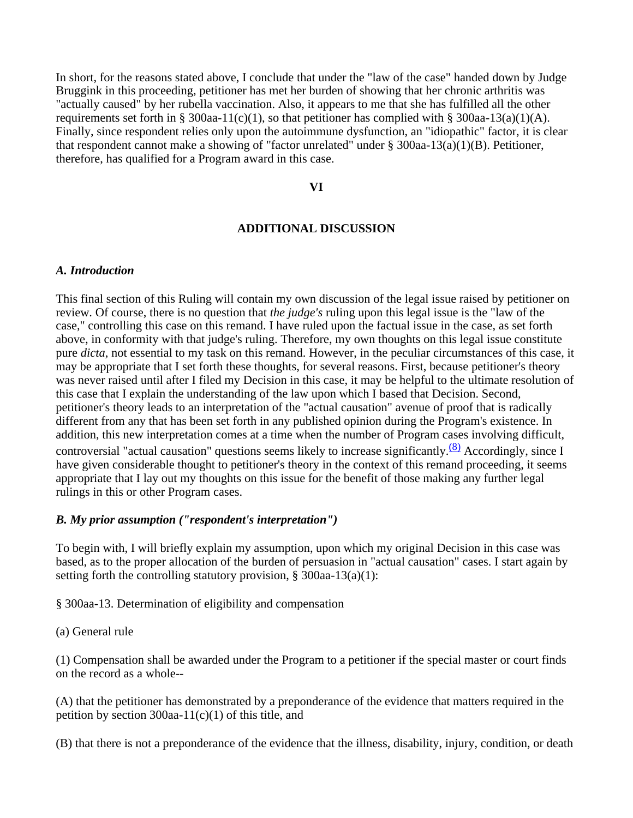In short, for the reasons stated above, I conclude that under the "law of the case" handed down by Judge Bruggink in this proceeding, petitioner has met her burden of showing that her chronic arthritis was "actually caused" by her rubella vaccination. Also, it appears to me that she has fulfilled all the other requirements set forth in § 300aa-11(c)(1), so that petitioner has complied with § 300aa-13(a)(1)(A). Finally, since respondent relies only upon the autoimmune dysfunction, an "idiopathic" factor, it is clear that respondent cannot make a showing of "factor unrelated" under § 300aa-13(a)(1)(B). Petitioner, therefore, has qualified for a Program award in this case.

## **VI**

## **ADDITIONAL DISCUSSION**

#### *A. Introduction*

This final section of this Ruling will contain my own discussion of the legal issue raised by petitioner on review. Of course, there is no question that *the judge's* ruling upon this legal issue is the "law of the case," controlling this case on this remand. I have ruled upon the factual issue in the case, as set forth above, in conformity with that judge's ruling. Therefore, my own thoughts on this legal issue constitute pure *dicta*, not essential to my task on this remand. However, in the peculiar circumstances of this case, it may be appropriate that I set forth these thoughts, for several reasons. First, because petitioner's theory was never raised until after I filed my Decision in this case, it may be helpful to the ultimate resolution of this case that I explain the understanding of the law upon which I based that Decision. Second, petitioner's theory leads to an interpretation of the "actual causation" avenue of proof that is radically different from any that has been set forth in any published opinion during the Program's existence. In addition, this new interpretation comes at a time when the number of Program cases involving difficult, controversial "actual causation" questions seems likely to increase significantly. $\frac{(8)}{8}$  Accordingly, since I have given considerable thought to petitioner's theory in the context of this remand proceeding, it seems appropriate that I lay out my thoughts on this issue for the benefit of those making any further legal rulings in this or other Program cases.

### *B. My prior assumption ("respondent's interpretation")*

To begin with, I will briefly explain my assumption, upon which my original Decision in this case was based, as to the proper allocation of the burden of persuasion in "actual causation" cases. I start again by setting forth the controlling statutory provision, § 300aa-13(a)(1):

§ 300aa-13. Determination of eligibility and compensation

(a) General rule

(1) Compensation shall be awarded under the Program to a petitioner if the special master or court finds on the record as a whole--

(A) that the petitioner has demonstrated by a preponderance of the evidence that matters required in the petition by section  $300aa-11(c)(1)$  of this title, and

(B) that there is not a preponderance of the evidence that the illness, disability, injury, condition, or death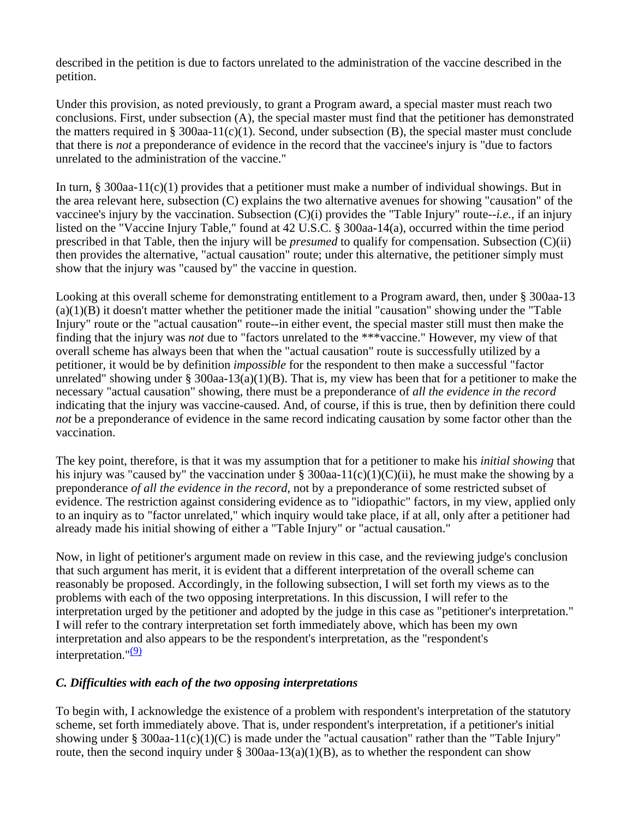described in the petition is due to factors unrelated to the administration of the vaccine described in the petition.

Under this provision, as noted previously, to grant a Program award, a special master must reach two conclusions. First, under subsection (A), the special master must find that the petitioner has demonstrated the matters required in § 300aa-11(c)(1). Second, under subsection (B), the special master must conclude that there is *not* a preponderance of evidence in the record that the vaccinee's injury is "due to factors unrelated to the administration of the vaccine."

In turn,  $\S$  300aa-11(c)(1) provides that a petitioner must make a number of individual showings. But in the area relevant here, subsection (C) explains the two alternative avenues for showing "causation" of the vaccinee's injury by the vaccination. Subsection (C)(i) provides the "Table Injury" route--*i.e.*, if an injury listed on the "Vaccine Injury Table," found at 42 U.S.C. § 300aa-14(a), occurred within the time period prescribed in that Table, then the injury will be *presumed* to qualify for compensation. Subsection (C)(ii) then provides the alternative, "actual causation" route; under this alternative, the petitioner simply must show that the injury was "caused by" the vaccine in question.

Looking at this overall scheme for demonstrating entitlement to a Program award, then, under § 300aa-13 (a)(1)(B) it doesn't matter whether the petitioner made the initial "causation" showing under the "Table Injury" route or the "actual causation" route--in either event, the special master still must then make the finding that the injury was *not* due to "factors unrelated to the \*\*\*vaccine." However, my view of that overall scheme has always been that when the "actual causation" route is successfully utilized by a petitioner, it would be by definition *impossible* for the respondent to then make a successful "factor unrelated" showing under § 300aa-13(a)(1)(B). That is, my view has been that for a petitioner to make the necessary "actual causation" showing, there must be a preponderance of *all the evidence in the record* indicating that the injury was vaccine-caused. And, of course, if this is true, then by definition there could *not* be a preponderance of evidence in the same record indicating causation by some factor other than the vaccination.

The key point, therefore, is that it was my assumption that for a petitioner to make his *initial showing* that his injury was "caused by" the vaccination under  $\S$  300aa-11(c)(1)(C)(ii), he must make the showing by a preponderance *of all the evidence in the record*, not by a preponderance of some restricted subset of evidence. The restriction against considering evidence as to "idiopathic" factors, in my view, applied only to an inquiry as to "factor unrelated," which inquiry would take place, if at all, only after a petitioner had already made his initial showing of either a "Table Injury" or "actual causation."

Now, in light of petitioner's argument made on review in this case, and the reviewing judge's conclusion that such argument has merit, it is evident that a different interpretation of the overall scheme can reasonably be proposed. Accordingly, in the following subsection, I will set forth my views as to the problems with each of the two opposing interpretations. In this discussion, I will refer to the interpretation urged by the petitioner and adopted by the judge in this case as "petitioner's interpretation." I will refer to the contrary interpretation set forth immediately above, which has been my own interpretation and also appears to be the respondent's interpretation, as the "respondent's interpretation." $(9)$ 

# *C. Difficulties with each of the two opposing interpretations*

To begin with, I acknowledge the existence of a problem with respondent's interpretation of the statutory scheme, set forth immediately above. That is, under respondent's interpretation, if a petitioner's initial showing under § 300aa-11(c)(1)(C) is made under the "actual causation" rather than the "Table Injury" route, then the second inquiry under § 300aa-13(a)(1)(B), as to whether the respondent can show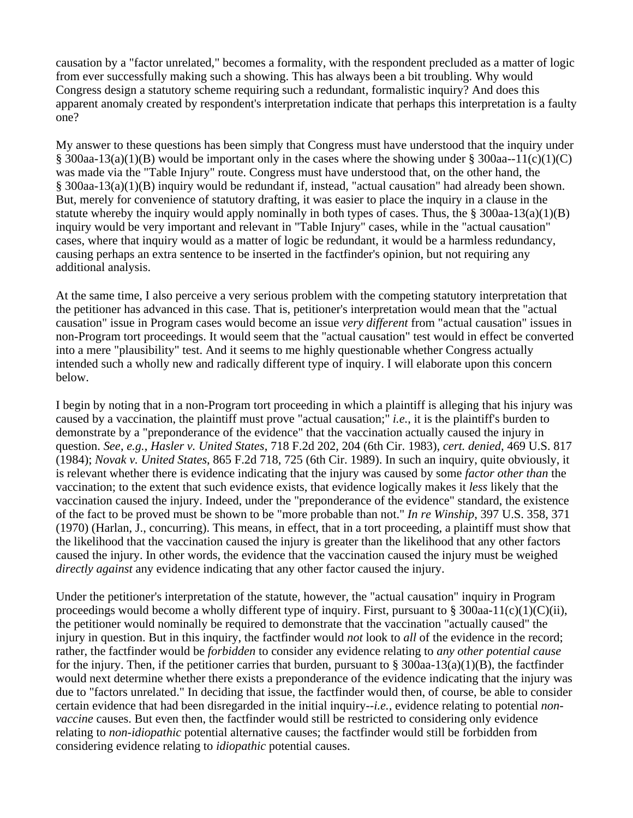causation by a "factor unrelated," becomes a formality, with the respondent precluded as a matter of logic from ever successfully making such a showing. This has always been a bit troubling. Why would Congress design a statutory scheme requiring such a redundant, formalistic inquiry? And does this apparent anomaly created by respondent's interpretation indicate that perhaps this interpretation is a faulty one?

My answer to these questions has been simply that Congress must have understood that the inquiry under § 300aa-13(a)(1)(B) would be important only in the cases where the showing under § 300aa--11(c)(1)(C) was made via the "Table Injury" route. Congress must have understood that, on the other hand, the § 300aa-13(a)(1)(B) inquiry would be redundant if, instead, "actual causation" had already been shown. But, merely for convenience of statutory drafting, it was easier to place the inquiry in a clause in the statute whereby the inquiry would apply nominally in both types of cases. Thus, the  $\S 300$ aa-13(a)(1)(B) inquiry would be very important and relevant in "Table Injury" cases, while in the "actual causation" cases, where that inquiry would as a matter of logic be redundant, it would be a harmless redundancy, causing perhaps an extra sentence to be inserted in the factfinder's opinion, but not requiring any additional analysis.

At the same time, I also perceive a very serious problem with the competing statutory interpretation that the petitioner has advanced in this case. That is, petitioner's interpretation would mean that the "actual causation" issue in Program cases would become an issue *very different* from "actual causation" issues in non-Program tort proceedings. It would seem that the "actual causation" test would in effect be converted into a mere "plausibility" test. And it seems to me highly questionable whether Congress actually intended such a wholly new and radically different type of inquiry. I will elaborate upon this concern below.

I begin by noting that in a non-Program tort proceeding in which a plaintiff is alleging that his injury was caused by a vaccination, the plaintiff must prove "actual causation;" *i.e.*, it is the plaintiff's burden to demonstrate by a "preponderance of the evidence" that the vaccination actually caused the injury in question. *See*, *e.g.*, *Hasler v. United States*, 718 F.2d 202, 204 (6th Cir. 1983), *cert. denied*, 469 U.S. 817 (1984); *Novak v. United States*, 865 F.2d 718, 725 (6th Cir. 1989). In such an inquiry, quite obviously, it is relevant whether there is evidence indicating that the injury was caused by some *factor other than* the vaccination; to the extent that such evidence exists, that evidence logically makes it *less* likely that the vaccination caused the injury. Indeed, under the "preponderance of the evidence" standard, the existence of the fact to be proved must be shown to be "more probable than not." *In re Winship*, 397 U.S. 358, 371 (1970) (Harlan, J., concurring). This means, in effect, that in a tort proceeding, a plaintiff must show that the likelihood that the vaccination caused the injury is greater than the likelihood that any other factors caused the injury. In other words, the evidence that the vaccination caused the injury must be weighed *directly against* any evidence indicating that any other factor caused the injury.

Under the petitioner's interpretation of the statute, however, the "actual causation" inquiry in Program proceedings would become a wholly different type of inquiry. First, pursuant to § 300aa-11(c)(1)(C)(ii), the petitioner would nominally be required to demonstrate that the vaccination "actually caused" the injury in question. But in this inquiry, the factfinder would *not* look to *all* of the evidence in the record; rather, the factfinder would be *forbidden* to consider any evidence relating to *any other potential cause* for the injury. Then, if the petitioner carries that burden, pursuant to  $\S 300$ aa-13(a)(1)(B), the factfinder would next determine whether there exists a preponderance of the evidence indicating that the injury was due to "factors unrelated." In deciding that issue, the factfinder would then, of course, be able to consider certain evidence that had been disregarded in the initial inquiry--*i.e.*, evidence relating to potential *nonvaccine* causes. But even then, the factfinder would still be restricted to considering only evidence relating to *non-idiopathic* potential alternative causes; the factfinder would still be forbidden from considering evidence relating to *idiopathic* potential causes.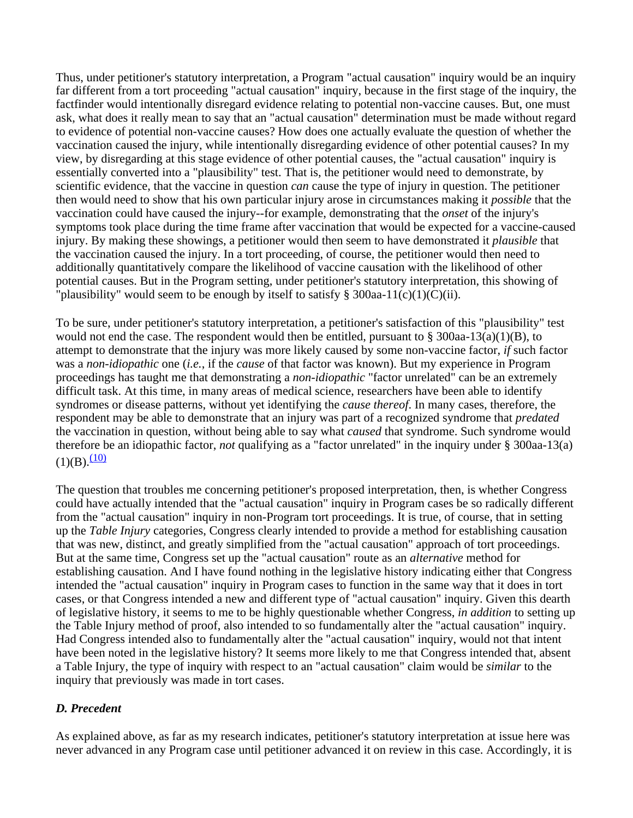Thus, under petitioner's statutory interpretation, a Program "actual causation" inquiry would be an inquiry far different from a tort proceeding "actual causation" inquiry, because in the first stage of the inquiry, the factfinder would intentionally disregard evidence relating to potential non-vaccine causes. But, one must ask, what does it really mean to say that an "actual causation" determination must be made without regard to evidence of potential non-vaccine causes? How does one actually evaluate the question of whether the vaccination caused the injury, while intentionally disregarding evidence of other potential causes? In my view, by disregarding at this stage evidence of other potential causes, the "actual causation" inquiry is essentially converted into a "plausibility" test. That is, the petitioner would need to demonstrate, by scientific evidence, that the vaccine in question *can* cause the type of injury in question. The petitioner then would need to show that his own particular injury arose in circumstances making it *possible* that the vaccination could have caused the injury--for example, demonstrating that the *onset* of the injury's symptoms took place during the time frame after vaccination that would be expected for a vaccine-caused injury. By making these showings, a petitioner would then seem to have demonstrated it *plausible* that the vaccination caused the injury. In a tort proceeding, of course, the petitioner would then need to additionally quantitatively compare the likelihood of vaccine causation with the likelihood of other potential causes. But in the Program setting, under petitioner's statutory interpretation, this showing of "plausibility" would seem to be enough by itself to satisfy  $\S 300$ aa-11(c)(1)(C)(ii).

To be sure, under petitioner's statutory interpretation, a petitioner's satisfaction of this "plausibility" test would not end the case. The respondent would then be entitled, pursuant to § 300aa-13(a)(1)(B), to attempt to demonstrate that the injury was more likely caused by some non-vaccine factor, *if* such factor was a *non-idiopathic* one (*i.e.*, if the *cause* of that factor was known). But my experience in Program proceedings has taught me that demonstrating a *non-idiopathic* "factor unrelated" can be an extremely difficult task. At this time, in many areas of medical science, researchers have been able to identify syndromes or disease patterns, without yet identifying the *cause thereof*. In many cases, therefore, the respondent may be able to demonstrate that an injury was part of a recognized syndrome that *predated* the vaccination in question, without being able to say what *caused* that syndrome. Such syndrome would therefore be an idiopathic factor, *not* qualifying as a "factor unrelated" in the inquiry under § 300aa-13(a)  $(1)(B)$ .<sup>(10)</sup>

The question that troubles me concerning petitioner's proposed interpretation, then, is whether Congress could have actually intended that the "actual causation" inquiry in Program cases be so radically different from the "actual causation" inquiry in non-Program tort proceedings. It is true, of course, that in setting up the *Table Injury* categories, Congress clearly intended to provide a method for establishing causation that was new, distinct, and greatly simplified from the "actual causation" approach of tort proceedings. But at the same time, Congress set up the "actual causation" route as an *alternative* method for establishing causation. And I have found nothing in the legislative history indicating either that Congress intended the "actual causation" inquiry in Program cases to function in the same way that it does in tort cases, or that Congress intended a new and different type of "actual causation" inquiry. Given this dearth of legislative history, it seems to me to be highly questionable whether Congress, *in addition* to setting up the Table Injury method of proof, also intended to so fundamentally alter the "actual causation" inquiry. Had Congress intended also to fundamentally alter the "actual causation" inquiry, would not that intent have been noted in the legislative history? It seems more likely to me that Congress intended that, absent a Table Injury, the type of inquiry with respect to an "actual causation" claim would be *similar* to the inquiry that previously was made in tort cases.

# *D. Precedent*

As explained above, as far as my research indicates, petitioner's statutory interpretation at issue here was never advanced in any Program case until petitioner advanced it on review in this case. Accordingly, it is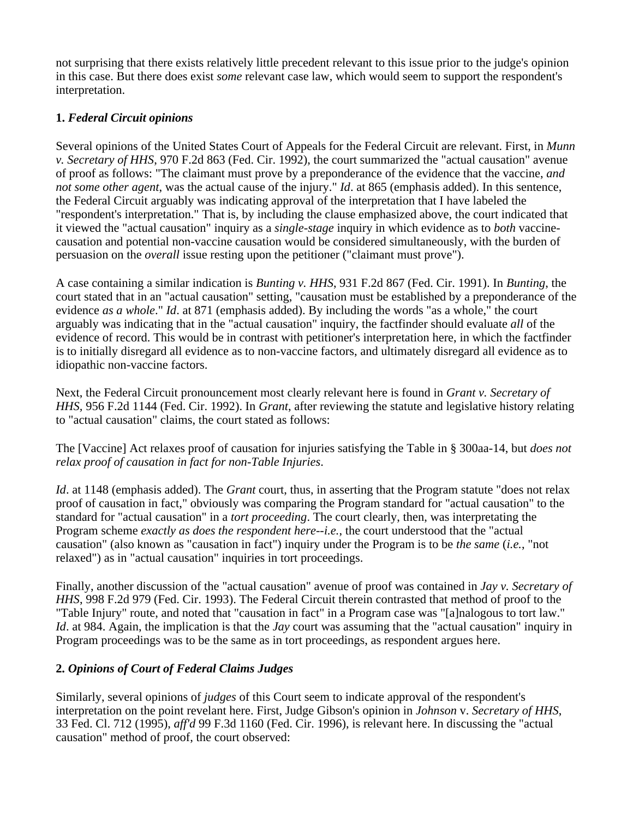not surprising that there exists relatively little precedent relevant to this issue prior to the judge's opinion in this case. But there does exist *some* relevant case law, which would seem to support the respondent's interpretation.

# **1.** *Federal Circuit opinions*

Several opinions of the United States Court of Appeals for the Federal Circuit are relevant. First, in *Munn v. Secretary of HHS*, 970 F.2d 863 (Fed. Cir. 1992), the court summarized the "actual causation" avenue of proof as follows: "The claimant must prove by a preponderance of the evidence that the vaccine, *and not some other agent*, was the actual cause of the injury." *Id*. at 865 (emphasis added). In this sentence, the Federal Circuit arguably was indicating approval of the interpretation that I have labeled the "respondent's interpretation." That is, by including the clause emphasized above, the court indicated that it viewed the "actual causation" inquiry as a *single-stage* inquiry in which evidence as to *both* vaccinecausation and potential non-vaccine causation would be considered simultaneously, with the burden of persuasion on the *overall* issue resting upon the petitioner ("claimant must prove").

A case containing a similar indication is *Bunting v. HHS*, 931 F.2d 867 (Fed. Cir. 1991). In *Bunting*, the court stated that in an "actual causation" setting, "causation must be established by a preponderance of the evidence *as a whole*." *Id*. at 871 (emphasis added). By including the words "as a whole," the court arguably was indicating that in the "actual causation" inquiry, the factfinder should evaluate *all* of the evidence of record. This would be in contrast with petitioner's interpretation here, in which the factfinder is to initially disregard all evidence as to non-vaccine factors, and ultimately disregard all evidence as to idiopathic non-vaccine factors.

Next, the Federal Circuit pronouncement most clearly relevant here is found in *Grant v. Secretary of HHS,* 956 F.2d 1144 (Fed. Cir. 1992). In *Grant*, after reviewing the statute and legislative history relating to "actual causation" claims, the court stated as follows:

The [Vaccine] Act relaxes proof of causation for injuries satisfying the Table in § 300aa-14, but *does not relax proof of causation in fact for non-Table Injuries*.

*Id*. at 1148 (emphasis added). The *Grant* court, thus, in asserting that the Program statute "does not relax proof of causation in fact," obviously was comparing the Program standard for "actual causation" to the standard for "actual causation" in a *tort proceeding*. The court clearly, then, was interpretating the Program scheme *exactly as does the respondent here*--*i.e.*, the court understood that the "actual causation" (also known as "causation in fact") inquiry under the Program is to be *the same* (*i.e.*, "not relaxed") as in "actual causation" inquiries in tort proceedings.

Finally, another discussion of the "actual causation" avenue of proof was contained in *Jay v. Secretary of HHS*, 998 F.2d 979 (Fed. Cir. 1993). The Federal Circuit therein contrasted that method of proof to the "Table Injury" route, and noted that "causation in fact" in a Program case was "[a]nalogous to tort law." *Id*. at 984. Again, the implication is that the *Jay* court was assuming that the "actual causation" inquiry in Program proceedings was to be the same as in tort proceedings, as respondent argues here.

# **2.** *Opinions of Court of Federal Claims Judges*

Similarly, several opinions of *judges* of this Court seem to indicate approval of the respondent's interpretation on the point revelant here. First, Judge Gibson's opinion in *Johnson* v. *Secretary of HHS*, 33 Fed. Cl. 712 (1995), *aff'd* 99 F.3d 1160 (Fed. Cir. 1996), is relevant here. In discussing the "actual causation" method of proof, the court observed: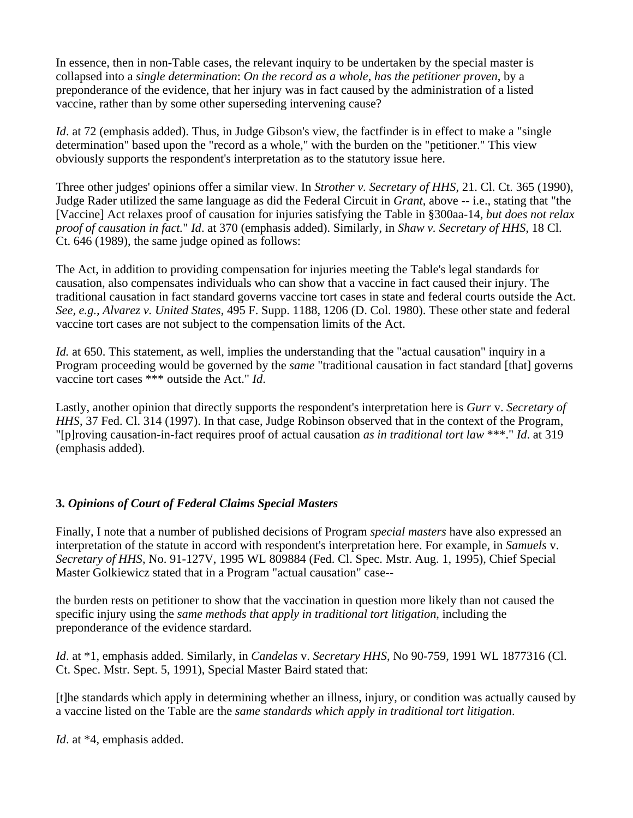In essence, then in non-Table cases, the relevant inquiry to be undertaken by the special master is collapsed into a *single determination*: *On the record as a whole, has the petitioner proven*, by a preponderance of the evidence, that her injury was in fact caused by the administration of a listed vaccine, rather than by some other superseding intervening cause?

*Id.* at 72 (emphasis added). Thus, in Judge Gibson's view, the factfinder is in effect to make a "single" determination" based upon the "record as a whole," with the burden on the "petitioner." This view obviously supports the respondent's interpretation as to the statutory issue here.

Three other judges' opinions offer a similar view. In *Strother v. Secretary of HHS*, 21. Cl. Ct. 365 (1990), Judge Rader utilized the same language as did the Federal Circuit in *Grant*, above -- i.e., stating that "the [Vaccine] Act relaxes proof of causation for injuries satisfying the Table in §300aa-14, *but does not relax proof of causation in fact.*" *Id*. at 370 (emphasis added). Similarly, in *Shaw v. Secretary of HHS,* 18 Cl. Ct. 646 (1989), the same judge opined as follows:

The Act, in addition to providing compensation for injuries meeting the Table's legal standards for causation, also compensates individuals who can show that a vaccine in fact caused their injury. The traditional causation in fact standard governs vaccine tort cases in state and federal courts outside the Act. *See, e.g., Alvarez v. United States*, 495 F. Supp. 1188, 1206 (D. Col. 1980). These other state and federal vaccine tort cases are not subject to the compensation limits of the Act.

*Id.* at 650. This statement, as well, implies the understanding that the "actual causation" inquiry in a Program proceeding would be governed by the *same* "traditional causation in fact standard [that] governs vaccine tort cases \*\*\* outside the Act." *Id*.

Lastly, another opinion that directly supports the respondent's interpretation here is *Gurr* v. *Secretary of HHS*, 37 Fed. Cl. 314 (1997). In that case, Judge Robinson observed that in the context of the Program, "[p]roving causation-in-fact requires proof of actual causation *as in traditional tort law* \*\*\*." *Id*. at 319 (emphasis added).

# **3.** *Opinions of Court of Federal Claims Special Masters*

Finally, I note that a number of published decisions of Program *special masters* have also expressed an interpretation of the statute in accord with respondent's interpretation here. For example, in *Samuels* v. *Secretary of HHS*, No. 91-127V, 1995 WL 809884 (Fed. Cl. Spec. Mstr. Aug. 1, 1995), Chief Special Master Golkiewicz stated that in a Program "actual causation" case--

the burden rests on petitioner to show that the vaccination in question more likely than not caused the specific injury using the *same methods that apply in traditional tort litigation*, including the preponderance of the evidence stardard.

*Id*. at \*1, emphasis added. Similarly, in *Candelas* v. *Secretary HHS*, No 90-759, 1991 WL 1877316 (Cl. Ct. Spec. Mstr. Sept. 5, 1991), Special Master Baird stated that:

[t]he standards which apply in determining whether an illness, injury, or condition was actually caused by a vaccine listed on the Table are the *same standards which apply in traditional tort litigation*.

*Id*. at \*4, emphasis added.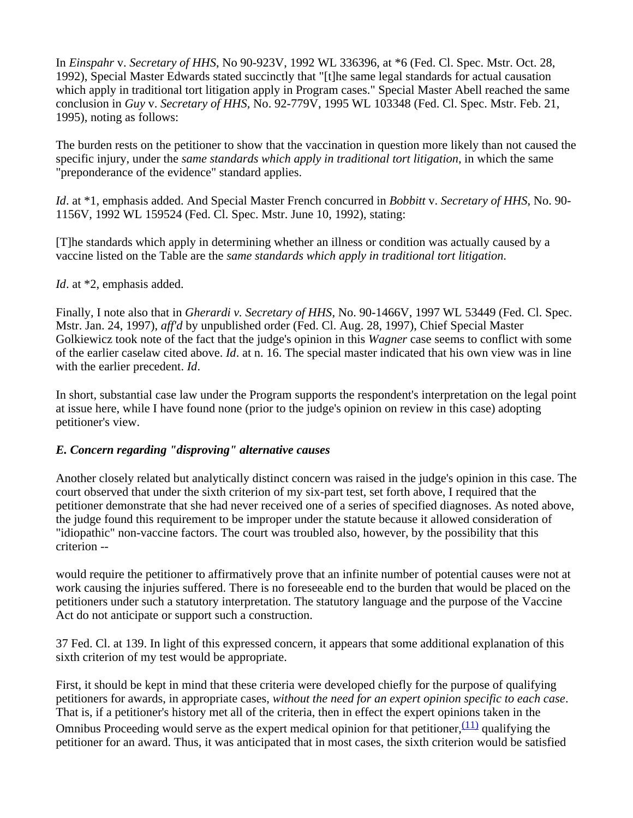In *Einspahr* v. *Secretary of HHS*, No 90-923V, 1992 WL 336396, at \*6 (Fed. Cl. Spec. Mstr. Oct. 28, 1992), Special Master Edwards stated succinctly that "[t]he same legal standards for actual causation which apply in traditional tort litigation apply in Program cases." Special Master Abell reached the same conclusion in *Guy* v. *Secretary of HHS,* No. 92-779V, 1995 WL 103348 (Fed. Cl. Spec. Mstr. Feb. 21, 1995), noting as follows:

The burden rests on the petitioner to show that the vaccination in question more likely than not caused the specific injury, under the *same standards which apply in traditional tort litigation*, in which the same "preponderance of the evidence" standard applies.

*Id*. at \*1, emphasis added. And Special Master French concurred in *Bobbitt* v. *Secretary of HHS*, No. 90- 1156V, 1992 WL 159524 (Fed. Cl. Spec. Mstr. June 10, 1992), stating:

[T]he standards which apply in determining whether an illness or condition was actually caused by a vaccine listed on the Table are the *same standards which apply in traditional tort litigation*.

# *Id*. at \*2, emphasis added.

Finally, I note also that in *Gherardi v. Secretary of HHS*, No. 90-1466V, 1997 WL 53449 (Fed. Cl. Spec. Mstr. Jan. 24, 1997), *aff'd* by unpublished order (Fed. Cl. Aug. 28, 1997), Chief Special Master Golkiewicz took note of the fact that the judge's opinion in this *Wagner* case seems to conflict with some of the earlier caselaw cited above. *Id*. at n. 16. The special master indicated that his own view was in line with the earlier precedent. *Id*.

In short, substantial case law under the Program supports the respondent's interpretation on the legal point at issue here, while I have found none (prior to the judge's opinion on review in this case) adopting petitioner's view.

# *E. Concern regarding "disproving" alternative causes*

Another closely related but analytically distinct concern was raised in the judge's opinion in this case. The court observed that under the sixth criterion of my six-part test, set forth above, I required that the petitioner demonstrate that she had never received one of a series of specified diagnoses. As noted above, the judge found this requirement to be improper under the statute because it allowed consideration of "idiopathic" non-vaccine factors. The court was troubled also, however, by the possibility that this criterion --

would require the petitioner to affirmatively prove that an infinite number of potential causes were not at work causing the injuries suffered. There is no foreseeable end to the burden that would be placed on the petitioners under such a statutory interpretation. The statutory language and the purpose of the Vaccine Act do not anticipate or support such a construction.

37 Fed. Cl. at 139. In light of this expressed concern, it appears that some additional explanation of this sixth criterion of my test would be appropriate.

First, it should be kept in mind that these criteria were developed chiefly for the purpose of qualifying petitioners for awards, in appropriate cases, *without the need for an expert opinion specific to each case*. That is, if a petitioner's history met all of the criteria, then in effect the expert opinions taken in the Omnibus Proceeding would serve as the expert medical opinion for that petitioner,  $(11)$  qualifying the petitioner for an award. Thus, it was anticipated that in most cases, the sixth criterion would be satisfied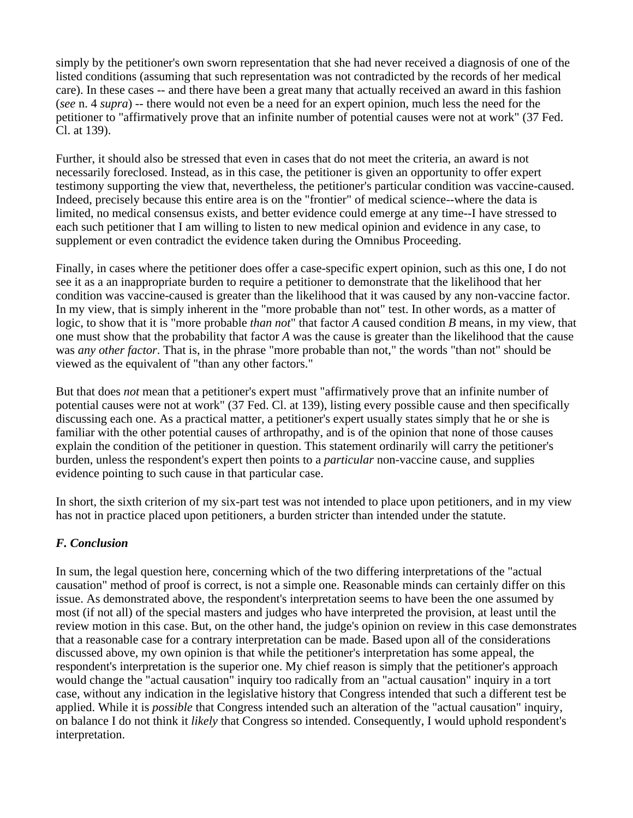simply by the petitioner's own sworn representation that she had never received a diagnosis of one of the listed conditions (assuming that such representation was not contradicted by the records of her medical care). In these cases -- and there have been a great many that actually received an award in this fashion (*see* n. 4 *supra*) -- there would not even be a need for an expert opinion, much less the need for the petitioner to "affirmatively prove that an infinite number of potential causes were not at work" (37 Fed. Cl. at 139).

Further, it should also be stressed that even in cases that do not meet the criteria, an award is not necessarily foreclosed. Instead, as in this case, the petitioner is given an opportunity to offer expert testimony supporting the view that, nevertheless, the petitioner's particular condition was vaccine-caused. Indeed, precisely because this entire area is on the "frontier" of medical science--where the data is limited, no medical consensus exists, and better evidence could emerge at any time--I have stressed to each such petitioner that I am willing to listen to new medical opinion and evidence in any case, to supplement or even contradict the evidence taken during the Omnibus Proceeding.

Finally, in cases where the petitioner does offer a case-specific expert opinion, such as this one, I do not see it as a an inappropriate burden to require a petitioner to demonstrate that the likelihood that her condition was vaccine-caused is greater than the likelihood that it was caused by any non-vaccine factor. In my view, that is simply inherent in the "more probable than not" test. In other words, as a matter of logic, to show that it is "more probable *than not*" that factor *A* caused condition *B* means, in my view, that one must show that the probability that factor *A* was the cause is greater than the likelihood that the cause was *any other factor*. That is, in the phrase "more probable than not," the words "than not" should be viewed as the equivalent of "than any other factors."

But that does *not* mean that a petitioner's expert must "affirmatively prove that an infinite number of potential causes were not at work" (37 Fed. Cl. at 139), listing every possible cause and then specifically discussing each one. As a practical matter, a petitioner's expert usually states simply that he or she is familiar with the other potential causes of arthropathy, and is of the opinion that none of those causes explain the condition of the petitioner in question. This statement ordinarily will carry the petitioner's burden, unless the respondent's expert then points to a *particular* non-vaccine cause, and supplies evidence pointing to such cause in that particular case.

In short, the sixth criterion of my six-part test was not intended to place upon petitioners, and in my view has not in practice placed upon petitioners, a burden stricter than intended under the statute.

# *F. Conclusion*

In sum, the legal question here, concerning which of the two differing interpretations of the "actual causation" method of proof is correct, is not a simple one. Reasonable minds can certainly differ on this issue. As demonstrated above, the respondent's interpretation seems to have been the one assumed by most (if not all) of the special masters and judges who have interpreted the provision, at least until the review motion in this case. But, on the other hand, the judge's opinion on review in this case demonstrates that a reasonable case for a contrary interpretation can be made. Based upon all of the considerations discussed above, my own opinion is that while the petitioner's interpretation has some appeal, the respondent's interpretation is the superior one. My chief reason is simply that the petitioner's approach would change the "actual causation" inquiry too radically from an "actual causation" inquiry in a tort case, without any indication in the legislative history that Congress intended that such a different test be applied. While it is *possible* that Congress intended such an alteration of the "actual causation" inquiry, on balance I do not think it *likely* that Congress so intended. Consequently, I would uphold respondent's interpretation.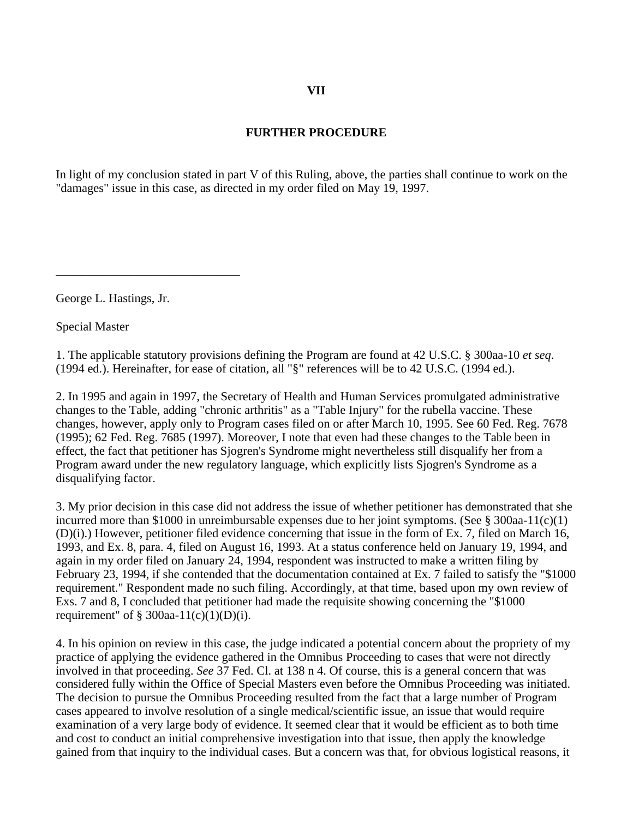### **VII**

## **FURTHER PROCEDURE**

In light of my conclusion stated in part V of this Ruling, above, the parties shall continue to work on the "damages" issue in this case, as directed in my order filed on May 19, 1997.

George L. Hastings, Jr.

\_\_\_\_\_\_\_\_\_\_\_\_\_\_\_\_\_\_\_\_\_\_\_\_\_\_\_\_\_\_

Special Master

1. The applicable statutory provisions defining the Program are found at 42 U.S.C. § 300aa-10 *et seq*. (1994 ed.). Hereinafter, for ease of citation, all "§" references will be to 42 U.S.C. (1994 ed.).

2. In 1995 and again in 1997, the Secretary of Health and Human Services promulgated administrative changes to the Table, adding "chronic arthritis" as a "Table Injury" for the rubella vaccine. These changes, however, apply only to Program cases filed on or after March 10, 1995. See 60 Fed. Reg. 7678 (1995); 62 Fed. Reg. 7685 (1997). Moreover, I note that even had these changes to the Table been in effect, the fact that petitioner has Sjogren's Syndrome might nevertheless still disqualify her from a Program award under the new regulatory language, which explicitly lists Sjogren's Syndrome as a disqualifying factor.

3. My prior decision in this case did not address the issue of whether petitioner has demonstrated that she incurred more than \$1000 in unreimbursable expenses due to her joint symptoms. (See  $\S 300$ aa-11(c)(1) (D)(i).) However, petitioner filed evidence concerning that issue in the form of Ex. 7, filed on March 16, 1993, and Ex. 8, para. 4, filed on August 16, 1993. At a status conference held on January 19, 1994, and again in my order filed on January 24, 1994, respondent was instructed to make a written filing by February 23, 1994, if she contended that the documentation contained at Ex. 7 failed to satisfy the "\$1000 requirement." Respondent made no such filing. Accordingly, at that time, based upon my own review of Exs. 7 and 8, I concluded that petitioner had made the requisite showing concerning the "\$1000 requirement" of  $\S$  300aa-11(c)(1)(D)(i).

4. In his opinion on review in this case, the judge indicated a potential concern about the propriety of my practice of applying the evidence gathered in the Omnibus Proceeding to cases that were not directly involved in that proceeding. *See* 37 Fed. Cl. at 138 n 4. Of course, this is a general concern that was considered fully within the Office of Special Masters even before the Omnibus Proceeding was initiated. The decision to pursue the Omnibus Proceeding resulted from the fact that a large number of Program cases appeared to involve resolution of a single medical/scientific issue, an issue that would require examination of a very large body of evidence. It seemed clear that it would be efficient as to both time and cost to conduct an initial comprehensive investigation into that issue, then apply the knowledge gained from that inquiry to the individual cases. But a concern was that, for obvious logistical reasons, it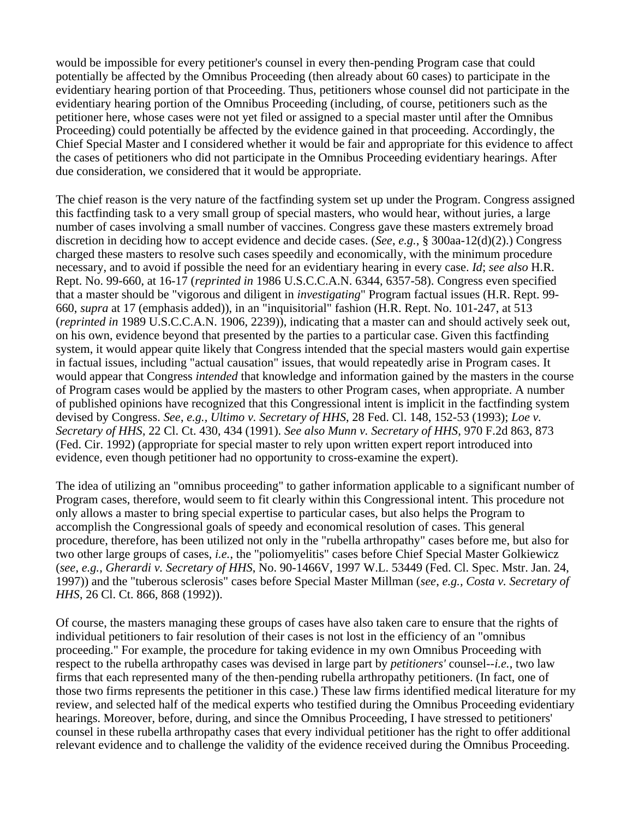would be impossible for every petitioner's counsel in every then-pending Program case that could potentially be affected by the Omnibus Proceeding (then already about 60 cases) to participate in the evidentiary hearing portion of that Proceeding. Thus, petitioners whose counsel did not participate in the evidentiary hearing portion of the Omnibus Proceeding (including, of course, petitioners such as the petitioner here, whose cases were not yet filed or assigned to a special master until after the Omnibus Proceeding) could potentially be affected by the evidence gained in that proceeding. Accordingly, the Chief Special Master and I considered whether it would be fair and appropriate for this evidence to affect the cases of petitioners who did not participate in the Omnibus Proceeding evidentiary hearings. After due consideration, we considered that it would be appropriate.

The chief reason is the very nature of the factfinding system set up under the Program. Congress assigned this factfinding task to a very small group of special masters, who would hear, without juries, a large number of cases involving a small number of vaccines. Congress gave these masters extremely broad discretion in deciding how to accept evidence and decide cases. (*See*, *e.g.*, § 300aa-12(d)(2).) Congress charged these masters to resolve such cases speedily and economically, with the minimum procedure necessary, and to avoid if possible the need for an evidentiary hearing in every case. *Id*; *see also* H.R. Rept. No. 99-660, at 16-17 (*reprinted in* 1986 U.S.C.C.A.N. 6344, 6357-58). Congress even specified that a master should be "vigorous and diligent in *investigating*" Program factual issues (H.R. Rept. 99- 660, *supra* at 17 (emphasis added)), in an "inquisitorial" fashion (H.R. Rept. No. 101-247, at 513 (*reprinted in* 1989 U.S.C.C.A.N. 1906, 2239)), indicating that a master can and should actively seek out, on his own, evidence beyond that presented by the parties to a particular case. Given this factfinding system, it would appear quite likely that Congress intended that the special masters would gain expertise in factual issues, including "actual causation" issues, that would repeatedly arise in Program cases. It would appear that Congress *intended* that knowledge and information gained by the masters in the course of Program cases would be applied by the masters to other Program cases, when appropriate. A number of published opinions have recognized that this Congressional intent is implicit in the factfinding system devised by Congress. *See*, *e.g., Ultimo v. Secretary of HHS*, 28 Fed. Cl. 148, 152-53 (1993); *Loe v. Secretary of HHS*, 22 Cl. Ct. 430, 434 (1991). *See also Munn v. Secretary of HHS*, 970 F.2d 863, 873 (Fed. Cir. 1992) (appropriate for special master to rely upon written expert report introduced into evidence, even though petitioner had no opportunity to cross-examine the expert).

The idea of utilizing an "omnibus proceeding" to gather information applicable to a significant number of Program cases, therefore, would seem to fit clearly within this Congressional intent. This procedure not only allows a master to bring special expertise to particular cases, but also helps the Program to accomplish the Congressional goals of speedy and economical resolution of cases. This general procedure, therefore, has been utilized not only in the "rubella arthropathy" cases before me, but also for two other large groups of cases, *i.e.*, the "poliomyelitis" cases before Chief Special Master Golkiewicz (*see*, *e.g., Gherardi v. Secretary of HHS*, No. 90-1466V, 1997 W.L. 53449 (Fed. Cl. Spec. Mstr. Jan. 24, 1997)) and the "tuberous sclerosis" cases before Special Master Millman (*see*, *e.g., Costa v. Secretary of HHS*, 26 Cl. Ct. 866, 868 (1992)).

Of course, the masters managing these groups of cases have also taken care to ensure that the rights of individual petitioners to fair resolution of their cases is not lost in the efficiency of an "omnibus proceeding." For example, the procedure for taking evidence in my own Omnibus Proceeding with respect to the rubella arthropathy cases was devised in large part by *petitioners'* counsel--*i.e.*, two law firms that each represented many of the then-pending rubella arthropathy petitioners. (In fact, one of those two firms represents the petitioner in this case.) These law firms identified medical literature for my review, and selected half of the medical experts who testified during the Omnibus Proceeding evidentiary hearings. Moreover, before, during, and since the Omnibus Proceeding, I have stressed to petitioners' counsel in these rubella arthropathy cases that every individual petitioner has the right to offer additional relevant evidence and to challenge the validity of the evidence received during the Omnibus Proceeding.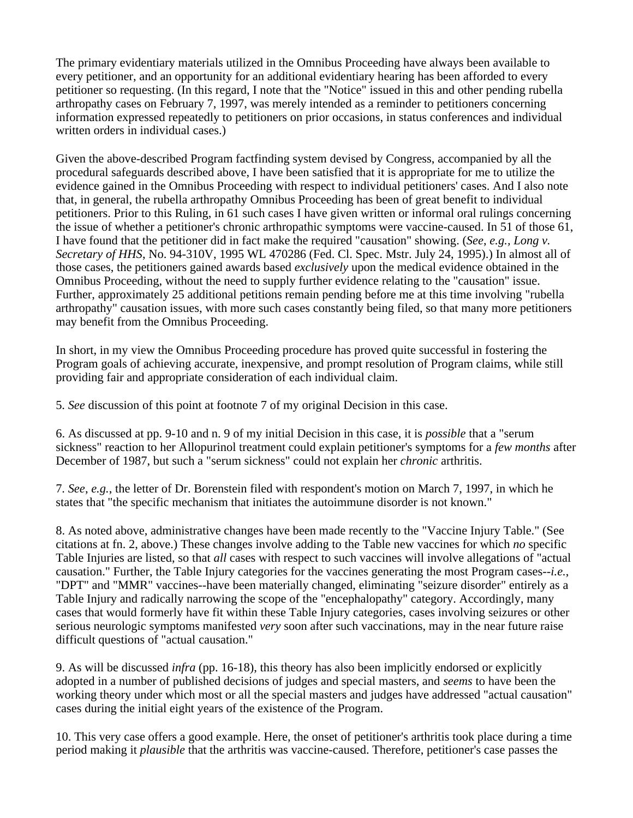The primary evidentiary materials utilized in the Omnibus Proceeding have always been available to every petitioner, and an opportunity for an additional evidentiary hearing has been afforded to every petitioner so requesting. (In this regard, I note that the "Notice" issued in this and other pending rubella arthropathy cases on February 7, 1997, was merely intended as a reminder to petitioners concerning information expressed repeatedly to petitioners on prior occasions, in status conferences and individual written orders in individual cases.)

Given the above-described Program factfinding system devised by Congress, accompanied by all the procedural safeguards described above, I have been satisfied that it is appropriate for me to utilize the evidence gained in the Omnibus Proceeding with respect to individual petitioners' cases. And I also note that, in general, the rubella arthropathy Omnibus Proceeding has been of great benefit to individual petitioners. Prior to this Ruling, in 61 such cases I have given written or informal oral rulings concerning the issue of whether a petitioner's chronic arthropathic symptoms were vaccine-caused. In 51 of those 61, I have found that the petitioner did in fact make the required "causation" showing. (*See*, *e.g., Long v. Secretary of HHS*, No. 94-310V, 1995 WL 470286 (Fed. Cl. Spec. Mstr. July 24, 1995).) In almost all of those cases, the petitioners gained awards based *exclusively* upon the medical evidence obtained in the Omnibus Proceeding, without the need to supply further evidence relating to the "causation" issue. Further, approximately 25 additional petitions remain pending before me at this time involving "rubella arthropathy" causation issues, with more such cases constantly being filed, so that many more petitioners may benefit from the Omnibus Proceeding.

In short, in my view the Omnibus Proceeding procedure has proved quite successful in fostering the Program goals of achieving accurate, inexpensive, and prompt resolution of Program claims, while still providing fair and appropriate consideration of each individual claim.

5. *See* discussion of this point at footnote 7 of my original Decision in this case.

6. As discussed at pp. 9-10 and n. 9 of my initial Decision in this case, it is *possible* that a "serum sickness" reaction to her Allopurinol treatment could explain petitioner's symptoms for a *few months* after December of 1987, but such a "serum sickness" could not explain her *chronic* arthritis.

7. *See*, *e.g.*, the letter of Dr. Borenstein filed with respondent's motion on March 7, 1997, in which he states that "the specific mechanism that initiates the autoimmune disorder is not known."

8. As noted above, administrative changes have been made recently to the "Vaccine Injury Table." (See citations at fn. 2, above.) These changes involve adding to the Table new vaccines for which *no* specific Table Injuries are listed, so that *all* cases with respect to such vaccines will involve allegations of "actual causation." Further, the Table Injury categories for the vaccines generating the most Program cases--*i.e.*, "DPT" and "MMR" vaccines--have been materially changed, eliminating "seizure disorder" entirely as a Table Injury and radically narrowing the scope of the "encephalopathy" category. Accordingly, many cases that would formerly have fit within these Table Injury categories, cases involving seizures or other serious neurologic symptoms manifested *very* soon after such vaccinations, may in the near future raise difficult questions of "actual causation."

9. As will be discussed *infra* (pp. 16-18), this theory has also been implicitly endorsed or explicitly adopted in a number of published decisions of judges and special masters, and *seems* to have been the working theory under which most or all the special masters and judges have addressed "actual causation" cases during the initial eight years of the existence of the Program.

10. This very case offers a good example. Here, the onset of petitioner's arthritis took place during a time period making it *plausible* that the arthritis was vaccine-caused. Therefore, petitioner's case passes the